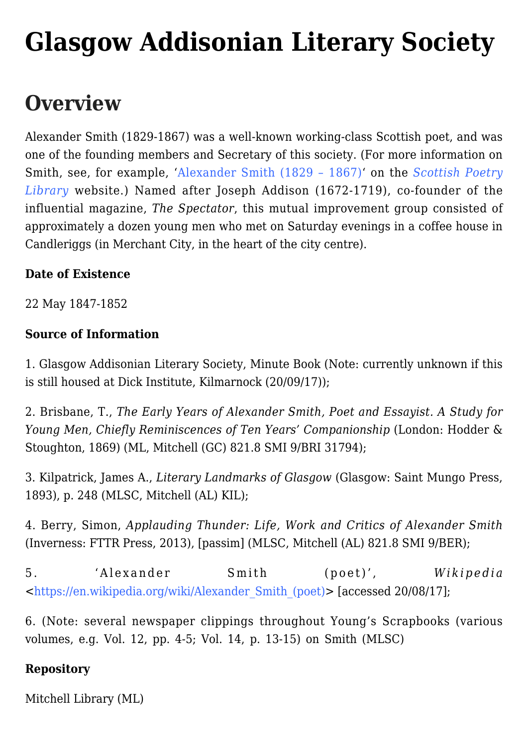# **[Glasgow Addisonian Literary Society](https://www.glasgowsliterarybonds.org/societies/glasgow-addisonian-literary-society/)**

# **Overview**

Alexander Smith (1829-1867) was a well-known working-class Scottish poet, and was one of the founding members and Secretary of this society. (For more information on Smith, see, for example, '[Alexander Smith \(1829 – 1867\)](http://www.scottishpoetrylibrary.org.uk/poetry/poets/alexander-smith)' on the *[Scottish Poetry](http://www.scottishpoetrylibrary.org.uk/) [Library](http://www.scottishpoetrylibrary.org.uk/)* website.) Named after Joseph Addison (1672-1719), co-founder of the influential magazine, *The Spectator*, this mutual improvement group consisted of approximately a dozen young men who met on Saturday evenings in a coffee house in Candleriggs (in Merchant City, in the heart of the city centre).

#### **Date of Existence**

22 May 1847-1852

#### **Source of Information**

1. Glasgow Addisonian Literary Society, Minute Book (Note: currently unknown if this is still housed at Dick Institute, Kilmarnock (20/09/17));

2. Brisbane, T., *The Early Years of Alexander Smith, Poet and Essayist. A Study for Young Men, Chiefly Reminiscences of Ten Years' Companionship* (London: Hodder & Stoughton, 1869) (ML, Mitchell (GC) 821.8 SMI 9/BRI 31794);

3. Kilpatrick, James A., *Literary Landmarks of Glasgow* (Glasgow: Saint Mungo Press, 1893), p. 248 (MLSC, Mitchell (AL) KIL);

4. Berry, Simon, *Applauding Thunder: Life, Work and Critics of Alexander Smith* (Inverness: FTTR Press, 2013), [passim] (MLSC, Mitchell (AL) 821.8 SMI 9/BER);

5. 'Alexander Smith (poet)', *Wikipedia* <[https://en.wikipedia.org/wiki/Alexander\\_Smith\\_\(poet\)>](https://en.wikipedia.org/wiki/Alexander_Smith_(poet)) [accessed 20/08/17];

6. (Note: several newspaper clippings throughout Young's Scrapbooks (various volumes, e.g. Vol. 12, pp. 4-5; Vol. 14, p. 13-15) on Smith (MLSC)

#### **Repository**

Mitchell Library (ML)